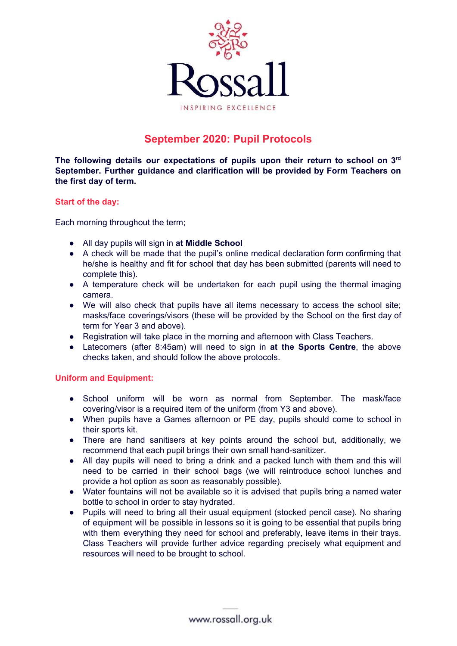

# **September 2020: Pupil Protocols**

**The following details our expectations of pupils upon their return to school on 3 rd September. Further guidance and clarification will be provided by Form Teachers on the first day of term.**

## **Start of the day:**

Each morning throughout the term;

- All day pupils will sign in **at Middle School**
- A check will be made that the pupil's online medical declaration form confirming that he/she is healthy and fit for school that day has been submitted (parents will need to complete this).
- A temperature check will be undertaken for each pupil using the thermal imaging camera.
- We will also check that pupils have all items necessary to access the school site; masks/face coverings/visors (these will be provided by the School on the first day of term for Year 3 and above).
- Registration will take place in the morning and afternoon with Class Teachers.
- Latecomers (after 8:45am) will need to sign in **at the Sports Centre**, the above checks taken, and should follow the above protocols.

## **Uniform and Equipment:**

- School uniform will be worn as normal from September. The mask/face covering/visor is a required item of the uniform (from Y3 and above).
- When pupils have a Games afternoon or PE day, pupils should come to school in their sports kit.
- There are hand sanitisers at key points around the school but, additionally, we recommend that each pupil brings their own small hand-sanitizer.
- All day pupils will need to bring a drink and a packed lunch with them and this will need to be carried in their school bags (we will reintroduce school lunches and provide a hot option as soon as reasonably possible).
- Water fountains will not be available so it is advised that pupils bring a named water bottle to school in order to stay hydrated.
- Pupils will need to bring all their usual equipment (stocked pencil case). No sharing of equipment will be possible in lessons so it is going to be essential that pupils bring with them everything they need for school and preferably, leave items in their trays. Class Teachers will provide further advice regarding precisely what equipment and resources will need to be brought to school.

www.rossall.org.uk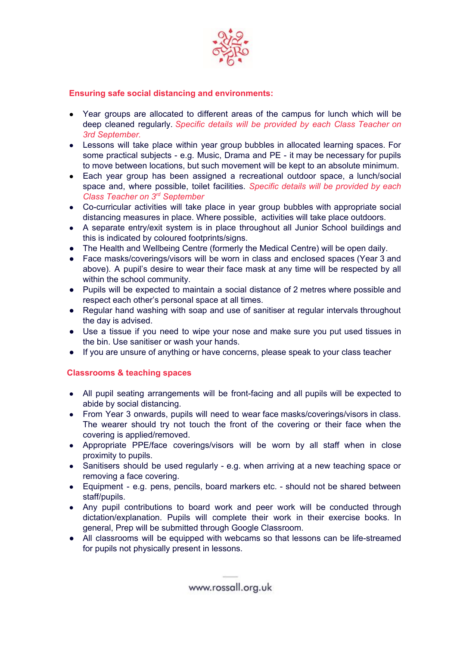

## **Ensuring safe social distancing and environments:**

- Year groups are allocated to different areas of the campus for lunch which will be deep cleaned regularly. *Specific details will be provided by each Class Teacher on 3rd September.*
- Lessons will take place within year group bubbles in allocated learning spaces. For some practical subjects - e.g. Music, Drama and PE - it may be necessary for pupils to move between locations, but such movement will be kept to an absolute minimum.
- Each year group has been assigned a recreational outdoor space, a lunch/social space and, where possible, toilet facilities. *Specific details will be provided by each Class Teacher on 3 rd September*
- Co-curricular activities will take place in year group bubbles with appropriate social distancing measures in place. Where possible, activities will take place outdoors.
- A separate entry/exit system is in place throughout all Junior School buildings and this is indicated by coloured footprints/signs.
- The Health and Wellbeing Centre (formerly the Medical Centre) will be open daily.
- Face masks/coverings/visors will be worn in class and enclosed spaces (Year 3 and above). A pupil's desire to wear their face mask at any time will be respected by all within the school community.
- Pupils will be expected to maintain a social distance of 2 metres where possible and respect each other's personal space at all times.
- Regular hand washing with soap and use of sanitiser at regular intervals throughout the day is advised.
- Use a tissue if you need to wipe your nose and make sure you put used tissues in the bin. Use sanitiser or wash your hands.
- If you are unsure of anything or have concerns, please speak to your class teacher

## **Classrooms & teaching spaces**

- All pupil seating arrangements will be front-facing and all pupils will be expected to abide by social distancing.
- From Year 3 onwards, pupils will need to wear face masks/coverings/visors in class. The wearer should try not touch the front of the covering or their face when the covering is applied/removed.
- Appropriate PPE/face coverings/visors will be worn by all staff when in close proximity to pupils.
- Sanitisers should be used regularly e.g. when arriving at a new teaching space or removing a face covering.
- Equipment e.g. pens, pencils, board markers etc. should not be shared between staff/pupils.
- Any pupil contributions to board work and peer work will be conducted through dictation/explanation. Pupils will complete their work in their exercise books. In general, Prep will be submitted through Google Classroom.
- All classrooms will be equipped with webcams so that lessons can be life-streamed for pupils not physically present in lessons.

www.rossall.org.uk